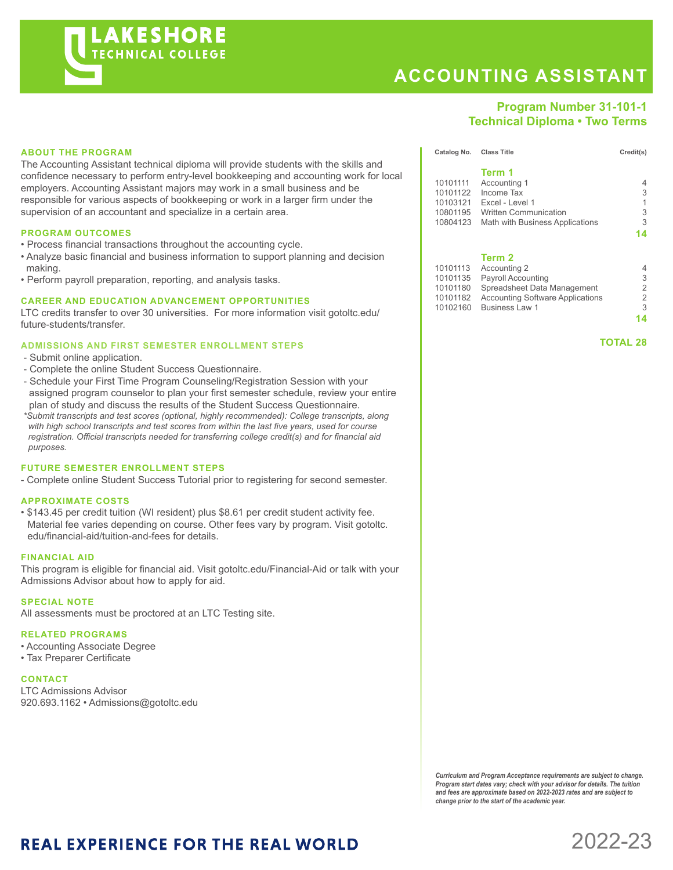

# **ACCOUNTING ASSISTANT**

## **Program Number 31-101-1 Technical Diploma • Two Terms**

### **ABOUT THE PROGRAM**

The Accounting Assistant technical diploma will provide students with the skills and confidence necessary to perform entry-level bookkeeping and accounting work for local employers. Accounting Assistant majors may work in a small business and be responsible for various aspects of bookkeeping or work in a larger firm under the supervision of an accountant and specialize in a certain area.

#### **PROGRAM OUTCOMES**

- Process financial transactions throughout the accounting cycle.
- Analyze basic financial and business information to support planning and decision making.
- Perform payroll preparation, reporting, and analysis tasks.

#### **CAREER AND EDUCATION ADVANCEMENT OPPORTUNITIES**

LTC credits transfer to over 30 universities. For more information visit gotoltc.edu/ future-students/transfer.

#### **ADMISSIONS AND FIRST SEMESTER ENROLLMENT STEPS**

- Submit online application.
- Complete the online Student Success Questionnaire.
- Schedule your First Time Program Counseling/Registration Session with your assigned program counselor to plan your first semester schedule, review your entire plan of study and discuss the results of the Student Success Questionnaire.
- *\*Submit transcripts and test scores (optional, highly recommended): College transcripts, along with high school transcripts and test scores from within the last five years, used for course registration. Official transcripts needed for transferring college credit(s) and for financial aid purposes.*

#### **FUTURE SEMESTER ENROLLMENT STEPS**

- Complete online Student Success Tutorial prior to registering for second semester.

#### **APPROXIMATE COSTS**

• \$143.45 per credit tuition (WI resident) plus \$8.61 per credit student activity fee. Material fee varies depending on course. Other fees vary by program. Visit gotoltc. edu/financial-aid/tuition-and-fees for details.

#### **FINANCIAL AID**

This program is eligible for financial aid. Visit gotoltc.edu/Financial-Aid or talk with your Admissions Advisor about how to apply for aid.

#### **SPECIAL NOTE**

All assessments must be proctored at an LTC Testing site.

#### **RELATED PROGRAMS**

• Accounting Associate Degree

• Tax Preparer Certificate

#### **CONTACT**

LTC Admissions Advisor 920.693.1162 • Admissions@gotoltc.edu

|          | Term 1                          |    |
|----------|---------------------------------|----|
| 10101111 | Accounting 1                    | 4  |
| 10101122 | Income Tax                      | 3  |
| 10103121 | Excel - Level 1                 | 1  |
| 10801195 | <b>Written Communication</b>    | 3  |
| 10804123 | Math with Business Applications | 3  |
|          |                                 | 14 |
|          | Term 2                          |    |
| 10101113 | Accounting 2                    | 4  |
| 10101135 | <b>Payroll Accounting</b>       | 3  |
| 10101180 | Spreadsheet Data Management     | 2  |

**Catalog No. Class Title Credit(s)** Credit(s)

10101180 Spreadsheet Data Management 2 10101182 Accounting Software Applications 2<br>10102160 Business Law 1 10102160 Business Law 1 3

**14**

 **TOTAL 28**

*Curriculum and Program Acceptance requirements are subject to change. Program start dates vary; check with your advisor for details. The tuition and fees are approximate based on 2022-2023 rates and are subject to change prior to the start of the academic year.* 

# **REAL EXPERIENCE FOR THE REAL WORLD**